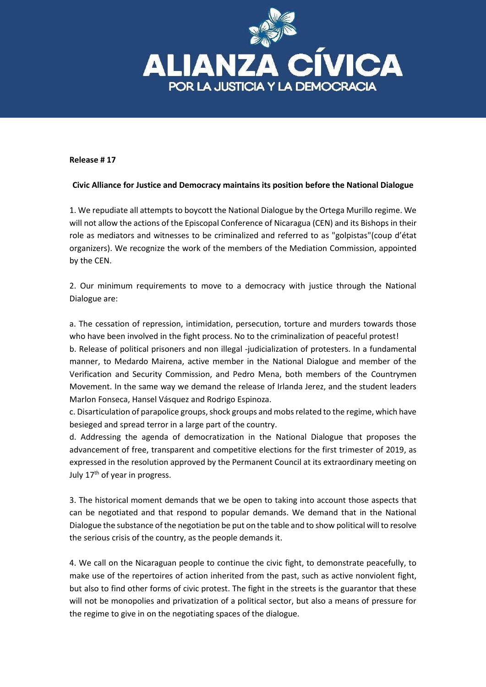

## **Release # 17**

## **Civic Alliance for Justice and Democracy maintains its position before the National Dialogue**

1. We repudiate all attempts to boycott the National Dialogue by the Ortega Murillo regime. We will not allow the actions of the Episcopal Conference of Nicaragua (CEN) and its Bishops in their role as mediators and witnesses to be criminalized and referred to as "golpistas"(coup d'état organizers). We recognize the work of the members of the Mediation Commission, appointed by the CEN.

2. Our minimum requirements to move to a democracy with justice through the National Dialogue are:

a. The cessation of repression, intimidation, persecution, torture and murders towards those who have been involved in the fight process. No to the criminalization of peaceful protest!

b. Release of political prisoners and non illegal -judicialization of protesters. In a fundamental manner, to Medardo Mairena, active member in the National Dialogue and member of the Verification and Security Commission, and Pedro Mena, both members of the Countrymen Movement. In the same way we demand the release of Irlanda Jerez, and the student leaders Marlon Fonseca, Hansel Vásquez and Rodrigo Espinoza.

c. Disarticulation of parapolice groups, shock groups and mobs related to the regime, which have besieged and spread terror in a large part of the country.

d. Addressing the agenda of democratization in the National Dialogue that proposes the advancement of free, transparent and competitive elections for the first trimester of 2019, as expressed in the resolution approved by the Permanent Council at its extraordinary meeting on July 17<sup>th</sup> of year in progress.

3. The historical moment demands that we be open to taking into account those aspects that can be negotiated and that respond to popular demands. We demand that in the National Dialogue the substance of the negotiation be put on the table and to show political will to resolve the serious crisis of the country, as the people demands it.

4. We call on the Nicaraguan people to continue the civic fight, to demonstrate peacefully, to make use of the repertoires of action inherited from the past, such as active nonviolent fight, but also to find other forms of civic protest. The fight in the streets is the guarantor that these will not be monopolies and privatization of a political sector, but also a means of pressure for the regime to give in on the negotiating spaces of the dialogue.